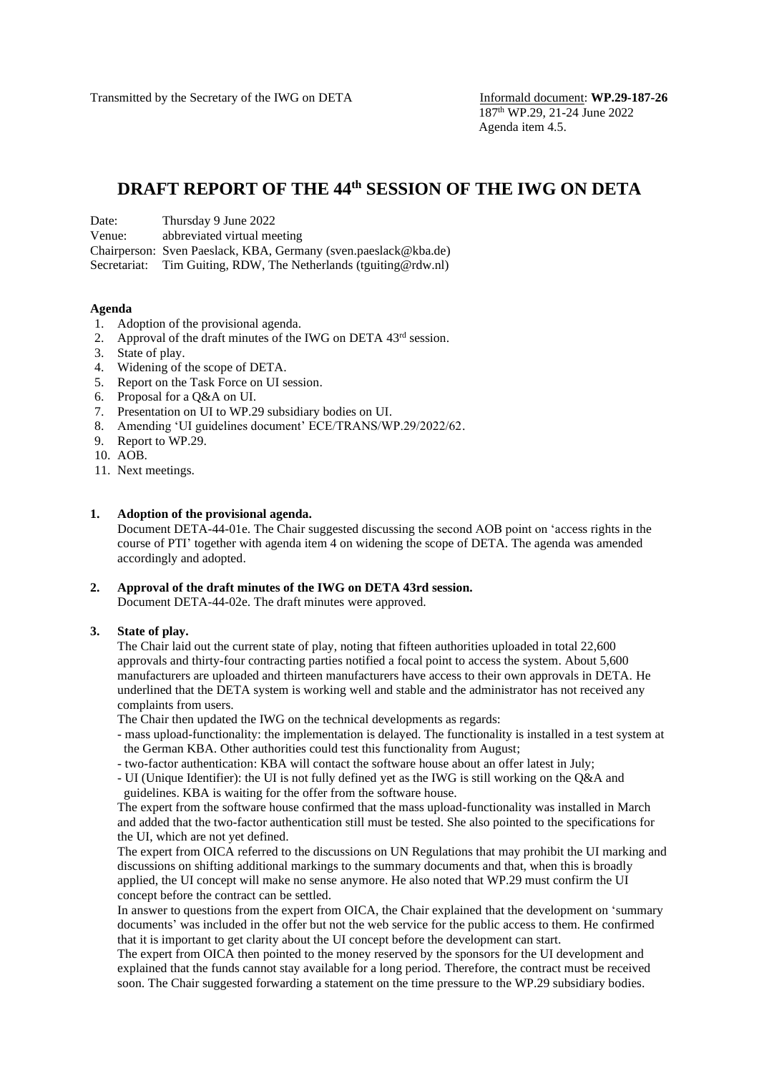Transmitted by the Secretary of the IWG on DETA Informald document: **WP.29-187-26** 

# **DRAFT REPORT OF THE 44 th SESSION OF THE IWG ON DETA**

| Date: | Thursday 9 June 2022 |
|-------|----------------------|
|-------|----------------------|

Venue: abbreviated virtual meeting

Chairperson: Sven Paeslack, KBA, Germany (sven.paeslack@kba.de)

Secretariat: Tim Guiting, RDW, The Netherlands (tguiting @rdw.nl)

#### **Agenda**

- 1. Adoption of the provisional agenda.
- 2. Approval of the draft minutes of the IWG on DETA 43<sup>rd</sup> session.
- 3. State of play.
- 4. Widening of the scope of DETA.
- 5. Report on the Task Force on UI session.
- 6. Proposal for a Q&A on UI.
- 7. Presentation on UI to WP.29 subsidiary bodies on UI.
- 8. Amending 'UI guidelines document' ECE/TRANS/WP.29/2022/62.
- 9. Report to WP.29.
- 10. AOB.
- 11. Next meetings.

#### **1. Adoption of the provisional agenda.**

Document DETA-44-01e. The Chair suggested discussing the second AOB point on 'access rights in the course of PTI' together with agenda item 4 on widening the scope of DETA. The agenda was amended accordingly and adopted.

# **2. Approval of the draft minutes of the IWG on DETA 43rd session.**

Document DETA-44-02e. The draft minutes were approved.

#### **3. State of play.**

The Chair laid out the current state of play, noting that fifteen authorities uploaded in total 22,600 approvals and thirty-four contracting parties notified a focal point to access the system. About 5,600 manufacturers are uploaded and thirteen manufacturers have access to their own approvals in DETA. He underlined that the DETA system is working well and stable and the administrator has not received any complaints from users.

The Chair then updated the IWG on the technical developments as regards:

- mass upload-functionality: the implementation is delayed. The functionality is installed in a test system at the German KBA. Other authorities could test this functionality from August;
- two-factor authentication: KBA will contact the software house about an offer latest in July;

- UI (Unique Identifier): the UI is not fully defined yet as the IWG is still working on the Q&A and guidelines. KBA is waiting for the offer from the software house.

The expert from the software house confirmed that the mass upload-functionality was installed in March and added that the two-factor authentication still must be tested. She also pointed to the specifications for the UI, which are not yet defined.

The expert from OICA referred to the discussions on UN Regulations that may prohibit the UI marking and discussions on shifting additional markings to the summary documents and that, when this is broadly applied, the UI concept will make no sense anymore. He also noted that WP.29 must confirm the UI concept before the contract can be settled.

In answer to questions from the expert from OICA, the Chair explained that the development on 'summary documents' was included in the offer but not the web service for the public access to them. He confirmed that it is important to get clarity about the UI concept before the development can start.

The expert from OICA then pointed to the money reserved by the sponsors for the UI development and explained that the funds cannot stay available for a long period. Therefore, the contract must be received soon. The Chair suggested forwarding a statement on the time pressure to the WP.29 subsidiary bodies.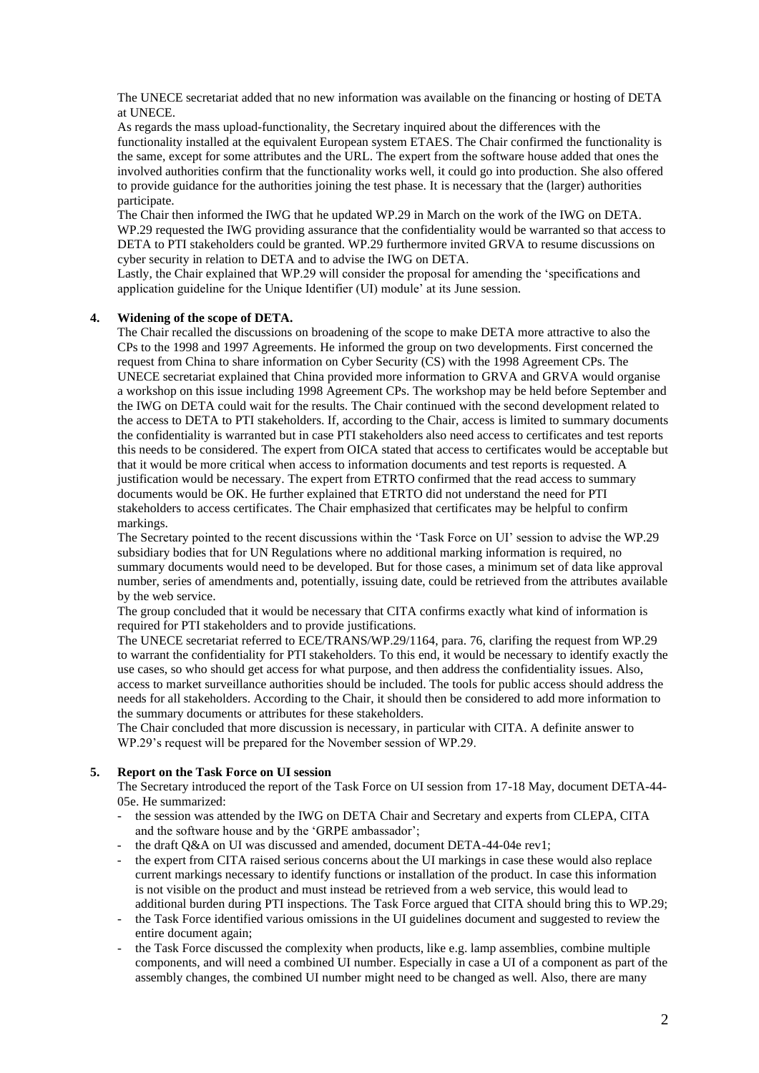The UNECE secretariat added that no new information was available on the financing or hosting of DETA at UNECE.

As regards the mass upload-functionality, the Secretary inquired about the differences with the functionality installed at the equivalent European system ETAES. The Chair confirmed the functionality is the same, except for some attributes and the URL. The expert from the software house added that ones the involved authorities confirm that the functionality works well, it could go into production. She also offered to provide guidance for the authorities joining the test phase. It is necessary that the (larger) authorities participate.

The Chair then informed the IWG that he updated WP.29 in March on the work of the IWG on DETA. WP.29 requested the IWG providing assurance that the confidentiality would be warranted so that access to DETA to PTI stakeholders could be granted. WP.29 furthermore invited GRVA to resume discussions on cyber security in relation to DETA and to advise the IWG on DETA.

Lastly, the Chair explained that WP.29 will consider the proposal for amending the 'specifications and application guideline for the Unique Identifier (UI) module' at its June session.

### **4. Widening of the scope of DETA.**

The Chair recalled the discussions on broadening of the scope to make DETA more attractive to also the CPs to the 1998 and 1997 Agreements. He informed the group on two developments. First concerned the request from China to share information on Cyber Security (CS) with the 1998 Agreement CPs. The UNECE secretariat explained that China provided more information to GRVA and GRVA would organise a workshop on this issue including 1998 Agreement CPs. The workshop may be held before September and the IWG on DETA could wait for the results. The Chair continued with the second development related to the access to DETA to PTI stakeholders. If, according to the Chair, access is limited to summary documents the confidentiality is warranted but in case PTI stakeholders also need access to certificates and test reports this needs to be considered. The expert from OICA stated that access to certificates would be acceptable but that it would be more critical when access to information documents and test reports is requested. A justification would be necessary. The expert from ETRTO confirmed that the read access to summary documents would be OK. He further explained that ETRTO did not understand the need for PTI stakeholders to access certificates. The Chair emphasized that certificates may be helpful to confirm markings.

The Secretary pointed to the recent discussions within the 'Task Force on UI' session to advise the WP.29 subsidiary bodies that for UN Regulations where no additional marking information is required, no summary documents would need to be developed. But for those cases, a minimum set of data like approval number, series of amendments and, potentially, issuing date, could be retrieved from the attributes available by the web service.

The group concluded that it would be necessary that CITA confirms exactly what kind of information is required for PTI stakeholders and to provide justifications.

The UNECE secretariat referred to ECE/TRANS/WP.29/1164, para. 76, clarifing the request from WP.29 to warrant the confidentiality for PTI stakeholders. To this end, it would be necessary to identify exactly the use cases, so who should get access for what purpose, and then address the confidentiality issues. Also, access to market surveillance authorities should be included. The tools for public access should address the needs for all stakeholders. According to the Chair, it should then be considered to add more information to the summary documents or attributes for these stakeholders.

The Chair concluded that more discussion is necessary, in particular with CITA. A definite answer to WP.29's request will be prepared for the November session of WP.29.

## **5. Report on the Task Force on UI session**

The Secretary introduced the report of the Task Force on UI session from 17-18 May, document DETA-44- 05e. He summarized:

- the session was attended by the IWG on DETA Chair and Secretary and experts from CLEPA, CITA and the software house and by the 'GRPE ambassador';
- the draft Q&A on UI was discussed and amended, document DETA-44-04e rev1;
- the expert from CITA raised serious concerns about the UI markings in case these would also replace current markings necessary to identify functions or installation of the product. In case this information is not visible on the product and must instead be retrieved from a web service, this would lead to additional burden during PTI inspections. The Task Force argued that CITA should bring this to WP.29;
- the Task Force identified various omissions in the UI guidelines document and suggested to review the entire document again;
- the Task Force discussed the complexity when products, like e.g. lamp assemblies, combine multiple components, and will need a combined UI number. Especially in case a UI of a component as part of the assembly changes, the combined UI number might need to be changed as well. Also, there are many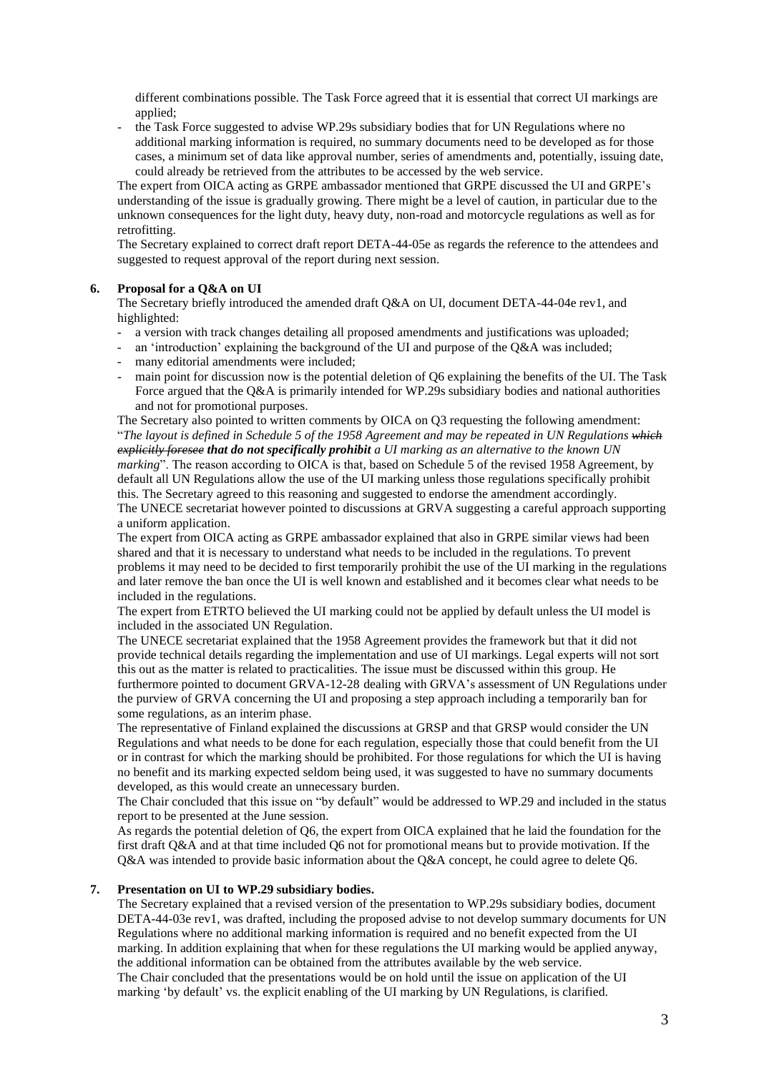different combinations possible. The Task Force agreed that it is essential that correct UI markings are applied;

- the Task Force suggested to advise WP.29s subsidiary bodies that for UN Regulations where no additional marking information is required, no summary documents need to be developed as for those cases, a minimum set of data like approval number, series of amendments and, potentially, issuing date, could already be retrieved from the attributes to be accessed by the web service.

The expert from OICA acting as GRPE ambassador mentioned that GRPE discussed the UI and GRPE's understanding of the issue is gradually growing. There might be a level of caution, in particular due to the unknown consequences for the light duty, heavy duty, non-road and motorcycle regulations as well as for retrofitting.

The Secretary explained to correct draft report DETA-44-05e as regards the reference to the attendees and suggested to request approval of the report during next session.

## **6. Proposal for a Q&A on UI**

The Secretary briefly introduced the amended draft Q&A on UI, document DETA-44-04e rev1, and highlighted:

- a version with track changes detailing all proposed amendments and justifications was uploaded;
- an 'introduction' explaining the background of the UI and purpose of the Q&A was included;
- many editorial amendments were included;
- main point for discussion now is the potential deletion of Q6 explaining the benefits of the UI. The Task Force argued that the Q&A is primarily intended for WP.29s subsidiary bodies and national authorities and not for promotional purposes.

The Secretary also pointed to written comments by OICA on Q3 requesting the following amendment: "*The layout is defined in Schedule 5 of the 1958 Agreement and may be repeated in UN Regulations which explicitly foresee that do not specifically prohibit a UI marking as an alternative to the known UN marking*". The reason according to OICA is that, based on Schedule 5 of the revised 1958 Agreement, by default all UN Regulations allow the use of the UI marking unless those regulations specifically prohibit this. The Secretary agreed to this reasoning and suggested to endorse the amendment accordingly. The UNECE secretariat however pointed to discussions at GRVA suggesting a careful approach supporting a uniform application.

The expert from OICA acting as GRPE ambassador explained that also in GRPE similar views had been shared and that it is necessary to understand what needs to be included in the regulations. To prevent problems it may need to be decided to first temporarily prohibit the use of the UI marking in the regulations and later remove the ban once the UI is well known and established and it becomes clear what needs to be included in the regulations.

The expert from ETRTO believed the UI marking could not be applied by default unless the UI model is included in the associated UN Regulation.

The UNECE secretariat explained that the 1958 Agreement provides the framework but that it did not provide technical details regarding the implementation and use of UI markings. Legal experts will not sort this out as the matter is related to practicalities. The issue must be discussed within this group. He furthermore pointed to document GRVA-12-28 dealing with GRVA's assessment of UN Regulations under the purview of GRVA concerning the UI and proposing a step approach including a temporarily ban for some regulations, as an interim phase.

The representative of Finland explained the discussions at GRSP and that GRSP would consider the UN Regulations and what needs to be done for each regulation, especially those that could benefit from the UI or in contrast for which the marking should be prohibited. For those regulations for which the UI is having no benefit and its marking expected seldom being used, it was suggested to have no summary documents developed, as this would create an unnecessary burden.

The Chair concluded that this issue on "by default" would be addressed to WP.29 and included in the status report to be presented at the June session.

As regards the potential deletion of Q6, the expert from OICA explained that he laid the foundation for the first draft Q&A and at that time included Q6 not for promotional means but to provide motivation. If the Q&A was intended to provide basic information about the Q&A concept, he could agree to delete Q6.

#### **7. Presentation on UI to WP.29 subsidiary bodies.**

The Secretary explained that a revised version of the presentation to WP.29s subsidiary bodies, document DETA-44-03e rev1, was drafted, including the proposed advise to not develop summary documents for UN Regulations where no additional marking information is required and no benefit expected from the UI marking. In addition explaining that when for these regulations the UI marking would be applied anyway, the additional information can be obtained from the attributes available by the web service. The Chair concluded that the presentations would be on hold until the issue on application of the UI marking 'by default' vs. the explicit enabling of the UI marking by UN Regulations, is clarified.